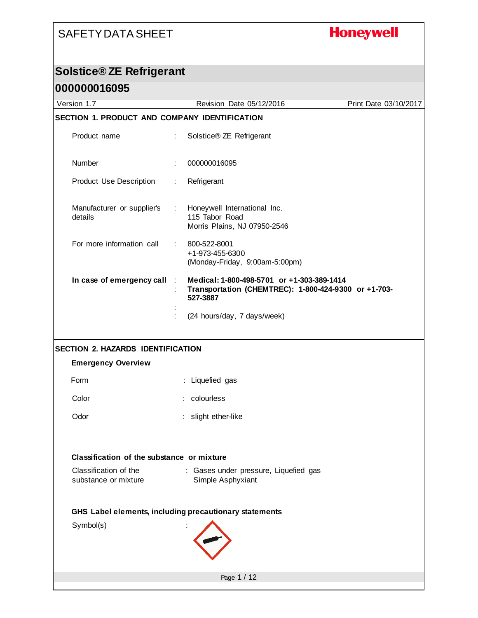## **Honeywell**

## **Solstice® ZE Refrigerant**

| 000000016095                                           |                              |                                                                                                                |                       |
|--------------------------------------------------------|------------------------------|----------------------------------------------------------------------------------------------------------------|-----------------------|
| Version 1.7                                            |                              | Revision Date 05/12/2016                                                                                       | Print Date 03/10/2017 |
| SECTION 1. PRODUCT AND COMPANY IDENTIFICATION          |                              |                                                                                                                |                       |
| Product name                                           | ÷                            | Solstice® ZE Refrigerant                                                                                       |                       |
| Number                                                 |                              | 000000016095                                                                                                   |                       |
| <b>Product Use Description</b>                         | $\mathbb{Z}^n$               | Refrigerant                                                                                                    |                       |
| Manufacturer or supplier's<br>details                  | $\mathcal{L}_{\mathrm{eff}}$ | Honeywell International Inc.<br>115 Tabor Road<br>Morris Plains, NJ 07950-2546                                 |                       |
| For more information call                              | $\mathcal{L}_{\mathrm{max}}$ | 800-522-8001<br>+1-973-455-6300<br>(Monday-Friday, 9:00am-5:00pm)                                              |                       |
| In case of emergency call                              | $\mathcal{L}$                | Medical: 1-800-498-5701 or +1-303-389-1414<br>Transportation (CHEMTREC): 1-800-424-9300 or +1-703-<br>527-3887 |                       |
|                                                        |                              | (24 hours/day, 7 days/week)                                                                                    |                       |
| <b>SECTION 2. HAZARDS IDENTIFICATION</b>               |                              |                                                                                                                |                       |
| <b>Emergency Overview</b>                              |                              |                                                                                                                |                       |
| Form                                                   |                              | : Liquefied gas                                                                                                |                       |
| Color                                                  |                              | colourless                                                                                                     |                       |
| Odor                                                   |                              | slight ether-like                                                                                              |                       |
| Classification of the substance or mixture             |                              |                                                                                                                |                       |
| Classification of the<br>substance or mixture          |                              | : Gases under pressure, Liquefied gas<br>Simple Asphyxiant                                                     |                       |
| GHS Label elements, including precautionary statements |                              |                                                                                                                |                       |
| Symbol(s)                                              |                              |                                                                                                                |                       |
|                                                        |                              | Page 1 / 12                                                                                                    |                       |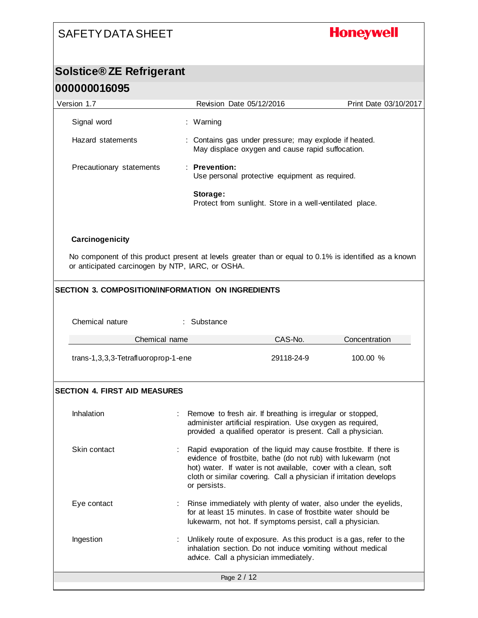**Honeywell** 

# **Solstice® ZE Refrigerant**

| 000000016095                                                                                                                                              |                                                                                                                                                                                                                                                                                           |                                                                                                                                                                                         |                                                                    |
|-----------------------------------------------------------------------------------------------------------------------------------------------------------|-------------------------------------------------------------------------------------------------------------------------------------------------------------------------------------------------------------------------------------------------------------------------------------------|-----------------------------------------------------------------------------------------------------------------------------------------------------------------------------------------|--------------------------------------------------------------------|
| Version 1.7                                                                                                                                               | Revision Date 05/12/2016                                                                                                                                                                                                                                                                  |                                                                                                                                                                                         | Print Date 03/10/2017                                              |
| Signal word                                                                                                                                               | : Warning                                                                                                                                                                                                                                                                                 |                                                                                                                                                                                         |                                                                    |
| Hazard statements                                                                                                                                         |                                                                                                                                                                                                                                                                                           | : Contains gas under pressure; may explode if heated.<br>May displace oxygen and cause rapid suffocation.                                                                               |                                                                    |
| Precautionary statements                                                                                                                                  | : Prevention:                                                                                                                                                                                                                                                                             | Use personal protective equipment as required.                                                                                                                                          |                                                                    |
|                                                                                                                                                           | Storage:                                                                                                                                                                                                                                                                                  | Protect from sunlight. Store in a well-ventilated place.                                                                                                                                |                                                                    |
| Carcinogenicity                                                                                                                                           |                                                                                                                                                                                                                                                                                           |                                                                                                                                                                                         |                                                                    |
| No component of this product present at levels greater than or equal to 0.1% is identified as a known<br>or anticipated carcinogen by NTP, IARC, or OSHA. |                                                                                                                                                                                                                                                                                           |                                                                                                                                                                                         |                                                                    |
| <b>SECTION 3. COMPOSITION/INFORMATION ON INGREDIENTS</b>                                                                                                  |                                                                                                                                                                                                                                                                                           |                                                                                                                                                                                         |                                                                    |
| Chemical nature                                                                                                                                           | : Substance                                                                                                                                                                                                                                                                               |                                                                                                                                                                                         |                                                                    |
| Chemical name                                                                                                                                             |                                                                                                                                                                                                                                                                                           | CAS-No.                                                                                                                                                                                 | Concentration                                                      |
| trans-1,3,3,3-Tetrafluoroprop-1-ene                                                                                                                       |                                                                                                                                                                                                                                                                                           | 29118-24-9                                                                                                                                                                              | 100.00 %                                                           |
| <b>SECTION 4. FIRST AID MEASURES</b>                                                                                                                      |                                                                                                                                                                                                                                                                                           |                                                                                                                                                                                         |                                                                    |
| Inhalation                                                                                                                                                |                                                                                                                                                                                                                                                                                           | Remove to fresh air. If breathing is irregular or stopped,<br>administer artificial respiration. Use oxygen as required,<br>provided a qualified operator is present. Call a physician. |                                                                    |
| Skin contact                                                                                                                                              | Rapid evaporation of the liquid may cause frostbite. If there is<br>evidence of frostbite, bathe (do not rub) with lukewarm (not<br>hot) water. If water is not available, cover with a clean, soft<br>cloth or similar covering. Call a physician if irritation develops<br>or persists. |                                                                                                                                                                                         |                                                                    |
| Eye contact                                                                                                                                               | Rinse immediately with plenty of water, also under the eyelids,<br>for at least 15 minutes. In case of frostbite water should be<br>lukewarm, not hot. If symptoms persist, call a physician.                                                                                             |                                                                                                                                                                                         |                                                                    |
| Ingestion                                                                                                                                                 | advice. Call a physician immediately.                                                                                                                                                                                                                                                     | inhalation section. Do not induce vomiting without medical                                                                                                                              | Unlikely route of exposure. As this product is a gas, refer to the |
|                                                                                                                                                           | Page 2 / 12                                                                                                                                                                                                                                                                               |                                                                                                                                                                                         |                                                                    |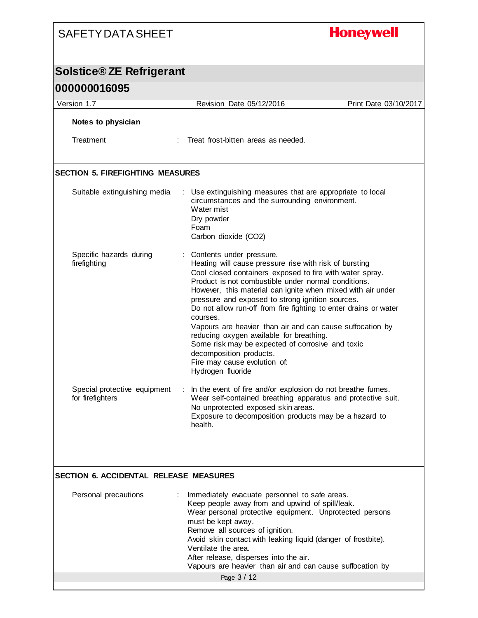## **Honeywell**

## **Solstice® ZE Refrigerant**

| 000000016095                                     |                                                                                                                                                                                                                                                                                                                                                                                                                                                                                                                                                                                                                                                         |                       |
|--------------------------------------------------|---------------------------------------------------------------------------------------------------------------------------------------------------------------------------------------------------------------------------------------------------------------------------------------------------------------------------------------------------------------------------------------------------------------------------------------------------------------------------------------------------------------------------------------------------------------------------------------------------------------------------------------------------------|-----------------------|
| Version 1.7                                      | Revision Date 05/12/2016                                                                                                                                                                                                                                                                                                                                                                                                                                                                                                                                                                                                                                | Print Date 03/10/2017 |
| Notes to physician<br>Treatment                  | Treat frost-bitten areas as needed.                                                                                                                                                                                                                                                                                                                                                                                                                                                                                                                                                                                                                     |                       |
| <b>SECTION 5. FIREFIGHTING MEASURES</b>          |                                                                                                                                                                                                                                                                                                                                                                                                                                                                                                                                                                                                                                                         |                       |
| Suitable extinguishing media                     | : Use extinguishing measures that are appropriate to local<br>circumstances and the surrounding environment.<br>Water mist<br>Dry powder<br>Foam<br>Carbon dioxide (CO2)                                                                                                                                                                                                                                                                                                                                                                                                                                                                                |                       |
| Specific hazards during<br>firefighting          | : Contents under pressure.<br>Heating will cause pressure rise with risk of bursting<br>Cool closed containers exposed to fire with water spray.<br>Product is not combustible under normal conditions.<br>However, this material can ignite when mixed with air under<br>pressure and exposed to strong ignition sources.<br>Do not allow run-off from fire fighting to enter drains or water<br>courses.<br>Vapours are heavier than air and can cause suffocation by<br>reducing oxygen available for breathing.<br>Some risk may be expected of corrosive and toxic<br>decomposition products.<br>Fire may cause evolution of:<br>Hydrogen fluoride |                       |
| Special protective equipment<br>for firefighters | In the event of fire and/or explosion do not breathe fumes.<br>÷<br>Wear self-contained breathing apparatus and protective suit.<br>No unprotected exposed skin areas.<br>Exposure to decomposition products may be a hazard to<br>health.                                                                                                                                                                                                                                                                                                                                                                                                              |                       |

#### **SECTION 6. ACCIDENTAL RELEASE MEASURES**

| Personal precautions | Immediately evacuate personnel to safe areas.<br>Keep people away from and upwind of spill/leak.<br>Wear personal protective equipment. Unprotected persons<br>must be kept away.<br>Remove all sources of ignition.<br>Avoid skin contact with leaking liquid (danger of frostbite).<br>Ventilate the area.<br>After release, disperses into the air.<br>Vapours are heavier than air and can cause suffocation by |  |
|----------------------|---------------------------------------------------------------------------------------------------------------------------------------------------------------------------------------------------------------------------------------------------------------------------------------------------------------------------------------------------------------------------------------------------------------------|--|
|                      | Page 3 / 12                                                                                                                                                                                                                                                                                                                                                                                                         |  |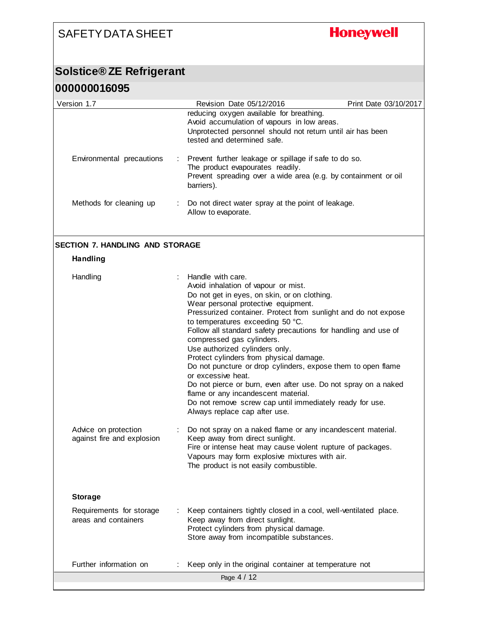## **Honeywell**

## **Solstice® ZE Refrigerant**

**000000016095**

| ,,,,,,,,,,,                                               |                |                                                                                                                                                                                                                                                                                                                                                                                                                                                                                                                                                                                                                                                                                                                               |                       |
|-----------------------------------------------------------|----------------|-------------------------------------------------------------------------------------------------------------------------------------------------------------------------------------------------------------------------------------------------------------------------------------------------------------------------------------------------------------------------------------------------------------------------------------------------------------------------------------------------------------------------------------------------------------------------------------------------------------------------------------------------------------------------------------------------------------------------------|-----------------------|
| Version 1.7                                               |                | Revision Date 05/12/2016                                                                                                                                                                                                                                                                                                                                                                                                                                                                                                                                                                                                                                                                                                      | Print Date 03/10/2017 |
|                                                           |                | reducing oxygen available for breathing.<br>Avoid accumulation of vapours in low areas.<br>Unprotected personnel should not return until air has been<br>tested and determined safe.                                                                                                                                                                                                                                                                                                                                                                                                                                                                                                                                          |                       |
| Environmental precautions                                 | $\mathbb{Z}^n$ | Prevent further leakage or spillage if safe to do so.<br>The product evapourates readily.<br>Prevent spreading over a wide area (e.g. by containment or oil<br>barriers).                                                                                                                                                                                                                                                                                                                                                                                                                                                                                                                                                     |                       |
| Methods for cleaning up                                   | ÷              | Do not direct water spray at the point of leakage.<br>Allow to evaporate.                                                                                                                                                                                                                                                                                                                                                                                                                                                                                                                                                                                                                                                     |                       |
| <b>SECTION 7. HANDLING AND STORAGE</b><br><b>Handling</b> |                |                                                                                                                                                                                                                                                                                                                                                                                                                                                                                                                                                                                                                                                                                                                               |                       |
| Handling                                                  |                | Handle with care.<br>Avoid inhalation of vapour or mist.<br>Do not get in eyes, on skin, or on clothing.<br>Wear personal protective equipment.<br>Pressurized container. Protect from sunlight and do not expose<br>to temperatures exceeding 50 °C.<br>Follow all standard safety precautions for handling and use of<br>compressed gas cylinders.<br>Use authorized cylinders only.<br>Protect cylinders from physical damage.<br>Do not puncture or drop cylinders, expose them to open flame<br>or excessive heat.<br>Do not pierce or burn, even after use. Do not spray on a naked<br>flame or any incandescent material.<br>Do not remove screw cap until immediately ready for use.<br>Always replace cap after use. |                       |
| Advice on protection<br>against fire and explosion        |                | Do not spray on a naked flame or any incandescent material.<br>Keep away from direct sunlight.<br>Fire or intense heat may cause violent rupture of packages.<br>Vapours may form explosive mixtures with air.<br>The product is not easily combustible.                                                                                                                                                                                                                                                                                                                                                                                                                                                                      |                       |
| <b>Storage</b>                                            |                |                                                                                                                                                                                                                                                                                                                                                                                                                                                                                                                                                                                                                                                                                                                               |                       |
| Requirements for storage<br>areas and containers          |                | Keep containers tightly closed in a cool, well-ventilated place.<br>Keep away from direct sunlight.<br>Protect cylinders from physical damage.<br>Store away from incompatible substances.                                                                                                                                                                                                                                                                                                                                                                                                                                                                                                                                    |                       |
| Further information on                                    |                | Keep only in the original container at temperature not                                                                                                                                                                                                                                                                                                                                                                                                                                                                                                                                                                                                                                                                        |                       |
|                                                           |                | Page 4 / 12                                                                                                                                                                                                                                                                                                                                                                                                                                                                                                                                                                                                                                                                                                                   |                       |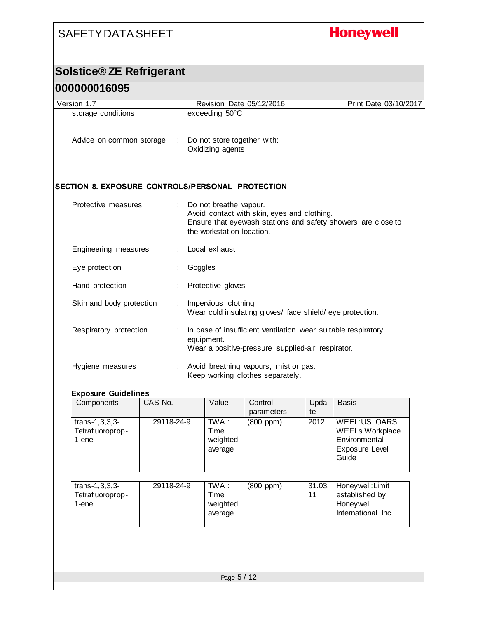## **Honeywell**

### **Solstice® ZE Refrigerant**

#### **000000016095**

| Version 1.7                                      | Revision Date 05/12/2016                                                                                                                                           | Print Date 03/10/2017 |
|--------------------------------------------------|--------------------------------------------------------------------------------------------------------------------------------------------------------------------|-----------------------|
| storage conditions                               | exceeding 50°C                                                                                                                                                     |                       |
| Advice on common storage                         | Do not store together with:<br>Oxidizing agents                                                                                                                    |                       |
| SECTION 8. EXPOSURE CONTROLS/PERSONAL PROTECTION |                                                                                                                                                                    |                       |
| Protective measures                              | Do not breathe vapour.<br>Avoid contact with skin, eyes and clothing.<br>Ensure that eyewash stations and safety showers are close to<br>the workstation location. |                       |
| Engineering measures                             | Local exhaust                                                                                                                                                      |                       |
| Eye protection                                   | Goggles                                                                                                                                                            |                       |
| Hand protection                                  | Protective gloves                                                                                                                                                  |                       |
| Skin and body protection                         | Impervious clothing<br>Wear cold insulating gloves/ face shield/eye protection.                                                                                    |                       |
| Respiratory protection                           | In case of insufficient ventilation wear suitable respiratory<br>equipment.<br>Wear a positive-pressure supplied-air respirator.                                   |                       |
| Hygiene measures                                 | Avoid breathing vapours, mist or gas.<br>Keep working clothes separately.                                                                                          |                       |

#### **Exposure Guidelines**

| CAS-No.     | Value                                  | Control<br>parameters | Upda<br>te   | <b>Basis</b>                                                                         |
|-------------|----------------------------------------|-----------------------|--------------|--------------------------------------------------------------------------------------|
| 29118-24-9  | $TWA$ :<br>Time<br>weighted<br>average | (800 ppm)             | 2012         | WEEL:US. OARS.<br><b>WEELs Workplace</b><br>Environmental<br>Exposure Level<br>Guide |
| 29118-24-9  | TWA :<br>Time<br>weighted<br>average   | $(800$ ppm $)$        | 31.03.<br>11 | Honeywell: Limit<br>established by<br>Honeywell<br>International Inc.                |
|             |                                        |                       |              |                                                                                      |
| Page 5 / 12 |                                        |                       |              |                                                                                      |
|             |                                        |                       |              |                                                                                      |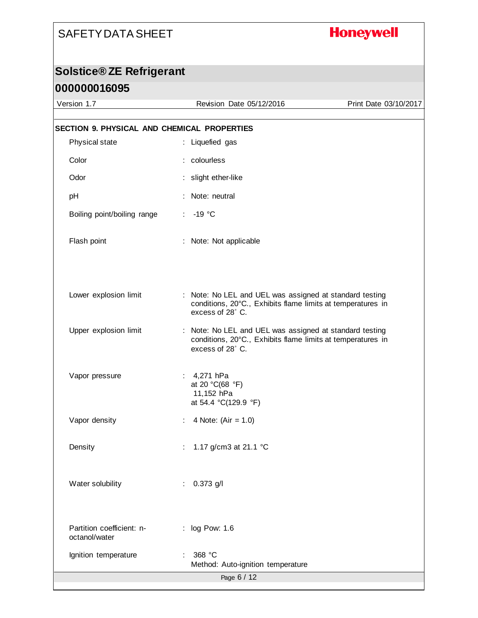## **Honeywell**

## **Solstice® ZE Refrigerant 000000016095**

| Version 1.7                                 | Revision Date 05/12/2016                                                                                                                   | Print Date 03/10/2017 |
|---------------------------------------------|--------------------------------------------------------------------------------------------------------------------------------------------|-----------------------|
| SECTION 9. PHYSICAL AND CHEMICAL PROPERTIES |                                                                                                                                            |                       |
| Physical state                              | : Liquefied gas                                                                                                                            |                       |
| Color                                       | : colourless                                                                                                                               |                       |
| Odor                                        | : slight ether-like                                                                                                                        |                       |
| pH                                          | : Note: neutral                                                                                                                            |                       |
| Boiling point/boiling range                 | $: -19 °C$                                                                                                                                 |                       |
| Flash point                                 | : Note: Not applicable                                                                                                                     |                       |
| Lower explosion limit                       | : Note: No LEL and UEL was assigned at standard testing<br>conditions, 20°C., Exhibits flame limits at temperatures in<br>excess of 28°C.  |                       |
| Upper explosion limit                       | : Note: No LEL and UEL was assigned at standard testing<br>conditions, 20°C., Exhibits flame limits at temperatures in<br>excess of 28° C. |                       |
| Vapor pressure                              | : $4,271$ hPa<br>at 20 °C(68 °F)<br>11,152 hPa<br>at 54.4 °C(129.9 °F)                                                                     |                       |
| Vapor density                               | : 4 Note: $(Air = 1.0)$                                                                                                                    |                       |
| Density                                     | 1.17 g/cm3 at 21.1 °C                                                                                                                      |                       |
| Water solubility                            | $0.373$ g/l                                                                                                                                |                       |
| Partition coefficient: n-<br>octanol/water  | : log Pow: 1.6                                                                                                                             |                       |
| Ignition temperature                        | 368 °C<br>Method: Auto-ignition temperature                                                                                                |                       |
|                                             | Page 6 / 12                                                                                                                                |                       |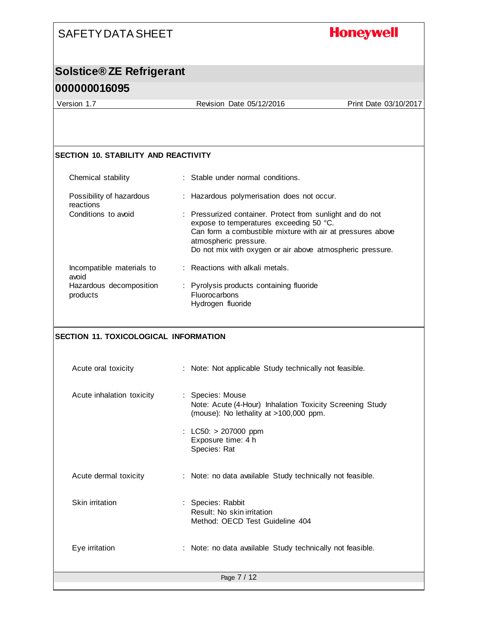## **Honeywell**

### **Solstice® ZE Refrigerant 000000016095**

Version 1.7 Revision Date 05/12/2016 Print Date 03/10/2017

#### **SECTION 10. STABILITY AND REACTIVITY**

| Chemical stability                    | : Stable under normal conditions.                                                                                                                                                                                                                        |
|---------------------------------------|----------------------------------------------------------------------------------------------------------------------------------------------------------------------------------------------------------------------------------------------------------|
| Possibility of hazardous<br>reactions | : Hazardous polymerisation does not occur.                                                                                                                                                                                                               |
| Conditions to avoid                   | : Pressurized container. Protect from sunlight and do not<br>expose to temperatures exceeding 50 °C.<br>Can form a combustible mixture with air at pressures above<br>atmospheric pressure.<br>Do not mix with oxygen or air above atmospheric pressure. |
| Incompatible materials to<br>avoid    | : Reactions with alkali metals.                                                                                                                                                                                                                          |
| Hazardous decomposition<br>products   | : Pyrolysis products containing fluoride<br><b>Fluorocarbons</b><br>Hydrogen fluoride                                                                                                                                                                    |

#### **SECTION 11. TOXICOLOGICAL INFORMATION**

| Acute oral toxicity       | : Note: Not applicable Study technically not feasible.                                                                 |
|---------------------------|------------------------------------------------------------------------------------------------------------------------|
| Acute inhalation toxicity | : Species: Mouse<br>Note: Acute (4-Hour) Inhalation Toxicity Screening Study<br>(mouse): No lethality at >100,000 ppm. |
|                           | : LC50: $> 207000$ ppm<br>Exposure time: 4 h<br>Species: Rat                                                           |
| Acute dermal toxicity     | : Note: no data available Study technically not feasible.                                                              |
| Skin irritation           | : Species: Rabbit<br>Result: No skin irritation<br>Method: OECD Test Guideline 404                                     |
| Eye irritation            | : Note: no data available Study technically not feasible.                                                              |
|                           | Page 7 / 12                                                                                                            |
|                           |                                                                                                                        |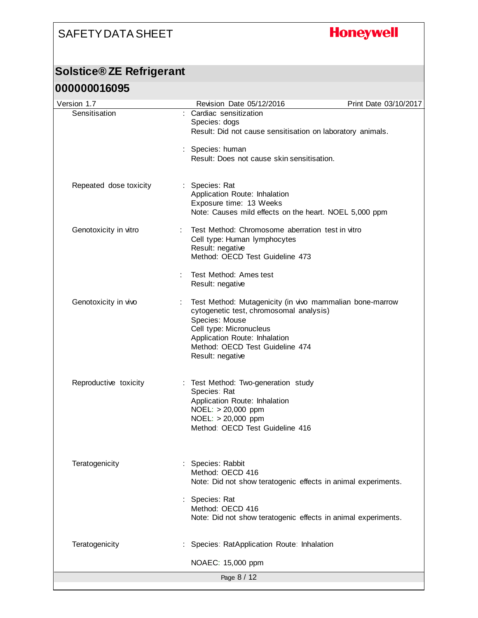## **Honeywell**

### **Solstice® ZE Refrigerant**

#### **000000016095**

| Version 1.7            | Revision Date 05/12/2016                                                                                                                                                                                                                 | Print Date 03/10/2017 |
|------------------------|------------------------------------------------------------------------------------------------------------------------------------------------------------------------------------------------------------------------------------------|-----------------------|
| Sensitisation          | : Cardiac sensitization<br>Species: dogs<br>Result: Did not cause sensitisation on laboratory animals.                                                                                                                                   |                       |
|                        | : Species: human<br>Result: Does not cause skin sensitisation.                                                                                                                                                                           |                       |
| Repeated dose toxicity | : Species: Rat<br>Application Route: Inhalation<br>Exposure time: 13 Weeks<br>Note: Causes mild effects on the heart. NOEL 5,000 ppm                                                                                                     |                       |
| Genotoxicity in vitro  | Test Method: Chromosome aberration test in vitro<br>Cell type: Human lymphocytes<br>Result: negative<br>Method: OECD Test Guideline 473                                                                                                  |                       |
|                        | Test Method: Ames test<br>Result: negative                                                                                                                                                                                               |                       |
| Genotoxicity in vivo   | Test Method: Mutagenicity (in vivo mammalian bone-marrow<br>cytogenetic test, chromosomal analysis)<br>Species: Mouse<br>Cell type: Micronucleus<br>Application Route: Inhalation<br>Method: OECD Test Guideline 474<br>Result: negative |                       |
| Reproductive toxicity  | : Test Method: Two-generation study<br>Species: Rat<br>Application Route: Inhalation<br>NOEL: > 20,000 ppm<br>NOEL: > 20,000 ppm<br>Method: OECD Test Guideline 416                                                                      |                       |
| Teratogenicity         | Species: Rabbit<br>Method: OECD 416<br>Note: Did not show teratogenic effects in animal experiments.                                                                                                                                     |                       |
|                        | Species: Rat<br>Method: OECD 416<br>Note: Did not show teratogenic effects in animal experiments.                                                                                                                                        |                       |
| Teratogenicity         | Species: RatApplication Route: Inhalation                                                                                                                                                                                                |                       |
|                        | NOAEC: 15,000 ppm                                                                                                                                                                                                                        |                       |
|                        | Page 8 / 12                                                                                                                                                                                                                              |                       |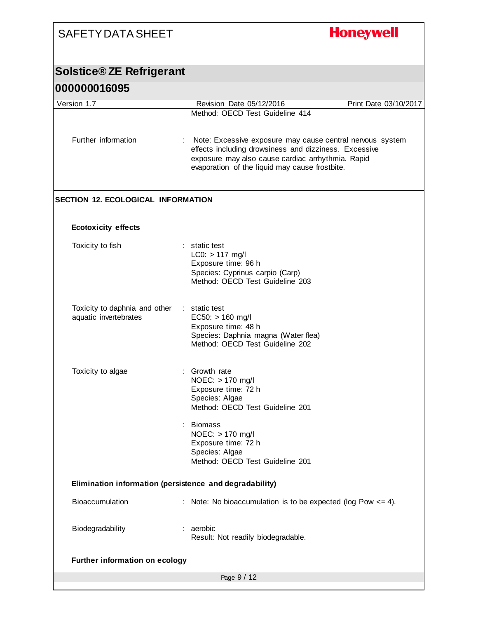| <b>SAFETY DATA SHEET</b>                                |                                                                                                                                                                                                                           | <b>Honeywell</b>      |
|---------------------------------------------------------|---------------------------------------------------------------------------------------------------------------------------------------------------------------------------------------------------------------------------|-----------------------|
| <b>Solstice® ZE Refrigerant</b>                         |                                                                                                                                                                                                                           |                       |
| 000000016095                                            |                                                                                                                                                                                                                           |                       |
| Version 1.7                                             | Revision Date 05/12/2016                                                                                                                                                                                                  | Print Date 03/10/2017 |
|                                                         | Method: OECD Test Guideline 414                                                                                                                                                                                           |                       |
| Further information                                     | Note: Excessive exposure may cause central nervous system<br>effects including drowsiness and dizziness. Excessive<br>exposure may also cause cardiac arrhythmia. Rapid<br>evaporation of the liquid may cause frostbite. |                       |
| <b>SECTION 12. ECOLOGICAL INFORMATION</b>               |                                                                                                                                                                                                                           |                       |
| <b>Ecotoxicity effects</b>                              |                                                                                                                                                                                                                           |                       |
| Toxicity to fish                                        | : static test<br>$LC0: > 117$ mg/l<br>Exposure time: 96 h<br>Species: Cyprinus carpio (Carp)<br>Method: OECD Test Guideline 203                                                                                           |                       |
| Toxicity to daphnia and other<br>aquatic invertebrates  | : static test<br>$EC50: > 160$ mg/l<br>Exposure time: 48 h<br>Species: Daphnia magna (Water flea)<br>Method: OECD Test Guideline 202                                                                                      |                       |
| Toxicity to algae                                       | Growth rate<br>NOEC: > 170 mg/l<br>Exposure time: 72 h<br>Species: Algae<br>Method: OECD Test Guideline 201<br><b>Biomass</b><br>NOEC: > 170 mg/l                                                                         |                       |
|                                                         | Exposure time: 72 h<br>Species: Algae<br>Method: OECD Test Guideline 201                                                                                                                                                  |                       |
| Elimination information (persistence and degradability) |                                                                                                                                                                                                                           |                       |
| Bioaccumulation                                         | : Note: No bioaccumulation is to be expected (log Pow $\leq$ = 4).                                                                                                                                                        |                       |
| Biodegradability                                        | : aerobic<br>Result: Not readily biodegradable.                                                                                                                                                                           |                       |
| <b>Further information on ecology</b>                   |                                                                                                                                                                                                                           |                       |
|                                                         | Page 9 / 12                                                                                                                                                                                                               |                       |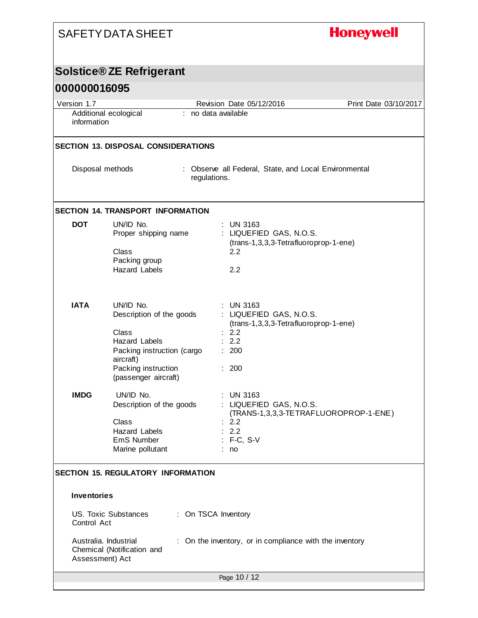|                                      | <b>SAFETY DATA SHEET</b>                                                                                                                                         | <b>Honeywell</b>                                                                                                       |                       |
|--------------------------------------|------------------------------------------------------------------------------------------------------------------------------------------------------------------|------------------------------------------------------------------------------------------------------------------------|-----------------------|
|                                      | <b>Solstice® ZE Refrigerant</b>                                                                                                                                  |                                                                                                                        |                       |
| 000000016095                         |                                                                                                                                                                  |                                                                                                                        |                       |
| Version 1.7                          |                                                                                                                                                                  | Revision Date 05/12/2016                                                                                               | Print Date 03/10/2017 |
| Additional ecological<br>information |                                                                                                                                                                  | : no data available                                                                                                    |                       |
|                                      | <b>SECTION 13. DISPOSAL CONSIDERATIONS</b>                                                                                                                       |                                                                                                                        |                       |
|                                      | Disposal methods                                                                                                                                                 | : Observe all Federal, State, and Local Environmental<br>regulations.                                                  |                       |
|                                      | <b>SECTION 14. TRANSPORT INFORMATION</b>                                                                                                                         |                                                                                                                        |                       |
| <b>DOT</b>                           | UN/ID No.<br>Proper shipping name<br>Class<br>Packing group<br><b>Hazard Labels</b>                                                                              | $:$ UN 3163<br>: LIQUEFIED GAS, N.O.S.<br>(trans-1,3,3,3-Tetrafluoroprop-1-ene)<br>2.2<br>2.2                          |                       |
| <b>IATA</b>                          | UN/ID No.<br>Description of the goods<br>Class<br><b>Hazard Labels</b><br>Packing instruction (cargo<br>aircraft)<br>Packing instruction<br>(passenger aircraft) | <b>UN 3163</b><br>: LIQUEFIED GAS, N.O.S.<br>(trans-1,3,3,3-Tetrafluoroprop-1-ene)<br>: 2.2<br>: 2.2<br>: 200<br>: 200 |                       |
| <b>IMDG</b>                          | UN/ID No.<br>Description of the goods<br>Class<br><b>Hazard Labels</b><br>EmS Number<br>Marine pollutant                                                         | : UN 3163<br>: LIQUEFIED GAS, N.O.S.<br>(TRANS-1,3,3,3-TE TRAFLUOROPROP-1-ENE)<br>2.2<br>: 2.2<br>: F-C, S-V<br>: no   |                       |
| <b>Inventories</b>                   | <b>SECTION 15. REGULATORY INFORMATION</b>                                                                                                                        |                                                                                                                        |                       |
| Control Act                          | US. Toxic Substances                                                                                                                                             | : On TSCA Inventory                                                                                                    |                       |
| Assessment) Act                      | Australia. Industrial<br>Chemical (Notification and                                                                                                              | : On the inventory, or in compliance with the inventory                                                                |                       |
|                                      |                                                                                                                                                                  | Page 10 / 12                                                                                                           |                       |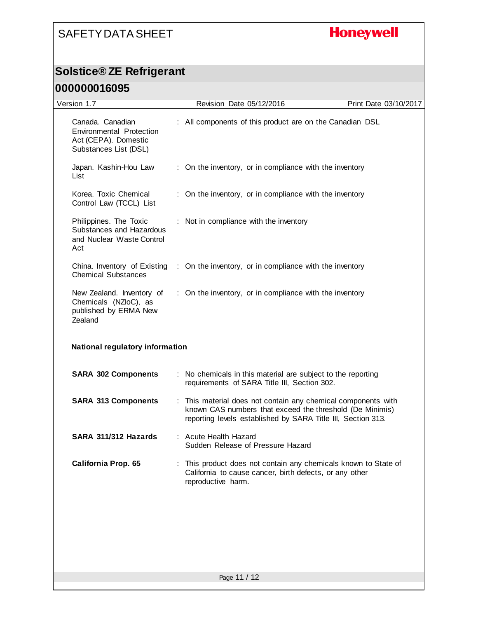## **Honeywell**

### **Solstice® ZE Refrigerant**

#### **000000016095**

| Version 1.7                                                                                          | Revision Date 05/12/2016                                                                                                                                                                  | Print Date 03/10/2017 |
|------------------------------------------------------------------------------------------------------|-------------------------------------------------------------------------------------------------------------------------------------------------------------------------------------------|-----------------------|
| Canada. Canadian<br><b>Environmental Protection</b><br>Act (CEPA). Domestic<br>Substances List (DSL) | : All components of this product are on the Canadian DSL                                                                                                                                  |                       |
| Japan. Kashin-Hou Law<br>List                                                                        | : On the inventory, or in compliance with the inventory                                                                                                                                   |                       |
| Korea. Toxic Chemical<br>Control Law (TCCL) List                                                     | : On the inventory, or in compliance with the inventory                                                                                                                                   |                       |
| Philippines. The Toxic<br>Substances and Hazardous<br>and Nuclear Waste Control<br>Act               | : Not in compliance with the inventory                                                                                                                                                    |                       |
| China. Inventory of Existing<br><b>Chemical Substances</b>                                           | : On the inventory, or in compliance with the inventory                                                                                                                                   |                       |
| New Zealand. Inventory of<br>Chemicals (NZloC), as<br>published by ERMA New<br>Zealand               | : On the inventory, or in compliance with the inventory                                                                                                                                   |                       |
| National regulatory information                                                                      |                                                                                                                                                                                           |                       |
| <b>SARA 302 Components</b>                                                                           | : No chemicals in this material are subject to the reporting<br>requirements of SARA Title III, Section 302.                                                                              |                       |
| <b>SARA 313 Components</b>                                                                           | : This material does not contain any chemical components with<br>known CAS numbers that exceed the threshold (De Minimis)<br>reporting levels established by SARA Title III, Section 313. |                       |
| SARA 311/312 Hazards                                                                                 | : Acute Health Hazard<br>Sudden Release of Pressure Hazard                                                                                                                                |                       |
| California Prop. 65                                                                                  | This product does not contain any chemicals known to State of<br>California to cause cancer, birth defects, or any other<br>reproductive harm.                                            |                       |
|                                                                                                      |                                                                                                                                                                                           |                       |
|                                                                                                      |                                                                                                                                                                                           |                       |
|                                                                                                      | Page 11 / 12                                                                                                                                                                              |                       |